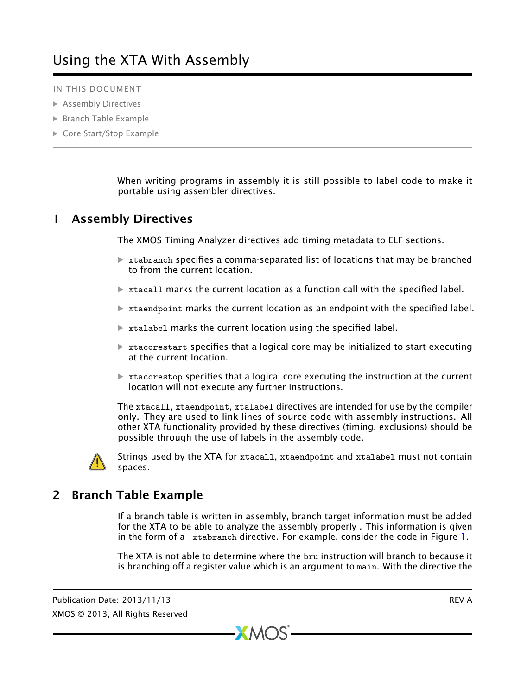IN THIS DOCUMENT

- · [Assembly Directives](#page-0-0)
- · [Branch Table Example](#page-0-1)
- ▶ [Core Start/Stop Example](#page-1-0)

<span id="page-0-0"></span>When writing programs in assembly it is still possible to label code to make it portable using assembler directives.

## 1 Assembly Directives

The XMOS Timing Analyzer directives add timing metadata to ELF sections.

- $\triangleright$  xtabranch specifies a comma-separated list of locations that may be branched to from the current location.
- $\triangleright$  xtacall marks the current location as a function call with the specified label.
- $*$  xtaendpoint marks the current location as an endpoint with the specified label.
- $\triangleright$  xtalabel marks the current location using the specified label.
- $\triangleright$  xtacorestart specifies that a logical core may be initialized to start executing at the current location.
- $\triangleright$  xtacorestop specifies that a logical core executing the instruction at the current location will not execute any further instructions.

The xtacall, xtaendpoint, xtalabel directives are intended for use by the compiler only. They are used to link lines of source code with assembly instructions. All other XTA functionality provided by these directives (timing, exclusions) should be possible through the use of labels in the assembly code.



<span id="page-0-1"></span>Strings used by the XTA for xtacall, xtaendpoint and xtalabel must not contain spaces.

## 2 Branch Table Example

If a branch table is written in assembly, branch target information must be added for the XTA to be able to analyze the assembly properly . This information is given in the form of a .xtabranch directive. For example, consider the code in Figure [1.](#page-1-1)

The XTA is not able to determine where the bru instruction will branch to because it is branching off a register value which is an argument to main. With the directive the

 $XMOS$ 

Publication Date: 2013/11/13 REV A XMOS © 2013, All Rights Reserved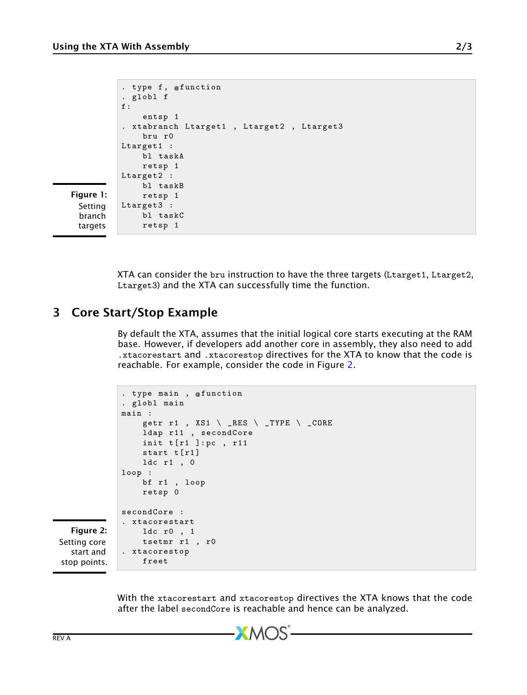```
. type f , @ function
. globl f
f:
    entsp 1
. xtabranch Ltarget1 , Ltarget2 , Ltarget3
    bru r0
Ltarget1 :
    bl taskA
    retsp 1
Ltarget2 :
    bl taskB
    retsp 1
Ltarget3 :
    bl taskC
    retsp 1
```
<span id="page-1-1"></span>Figure 1: Setting branch targets

> <span id="page-1-0"></span>XTA can consider the bru instruction to have the three targets (Ltarget1, Ltarget2, Ltarget3) and the XTA can successfully time the function.

## 3 Core Start/Stop Example

By default the XTA, assumes that the initial logical core starts executing at the RAM base. However, if developers add another core in assembly, they also need to add .xtacorestart and .xtacorestop directives for the XTA to know that the code is reachable. For example, consider the code in Figure [2.](#page-1-2)

```
. type main , @ function
. globl main
main :
    getr r1, XS1 \setminus RES \setminus TYPE \setminus COREldap r11 , secondCore
    init t[r1]: pc, r11start t[r1]
    ldc r1 , 0
loop :
    bf r1 , loop
    retsp 0
secondCore :
. xtacorestart
    ldc r0 , 1
    tsetmr r1 , r0
. xtacorestop
    freet
```
<span id="page-1-2"></span>Figure 2: Setting core start and stop points.

> With the xtacorestart and xtacorestop directives the XTA knows that the code after the label secondCore is reachable and hence can be analyzed.